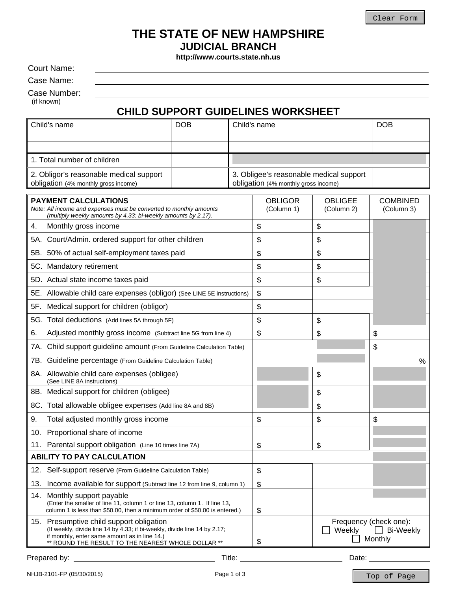# **THE STATE OF NEW HAMPSHIRE JUDICIAL BRANCH**

**http://www.courts.state.nh.us** 

Court Name:

Case Name:

Case Number:

(if known)

# **CHILD SUPPORT GUIDELINES WORKSHEET**

|                                                                                                                                                                    | Child's name                                                                                                                                                                                                                 | <b>DOB</b> |                                         | Child's name                 |                                                                 | <b>DOB</b>                    |
|--------------------------------------------------------------------------------------------------------------------------------------------------------------------|------------------------------------------------------------------------------------------------------------------------------------------------------------------------------------------------------------------------------|------------|-----------------------------------------|------------------------------|-----------------------------------------------------------------|-------------------------------|
|                                                                                                                                                                    |                                                                                                                                                                                                                              |            |                                         |                              |                                                                 |                               |
|                                                                                                                                                                    |                                                                                                                                                                                                                              |            |                                         |                              |                                                                 |                               |
|                                                                                                                                                                    | 1. Total number of children                                                                                                                                                                                                  |            |                                         |                              |                                                                 |                               |
| 2. Obligor's reasonable medical support                                                                                                                            |                                                                                                                                                                                                                              |            | 3. Obligee's reasonable medical support |                              |                                                                 |                               |
| obligation (4% monthly gross income)                                                                                                                               |                                                                                                                                                                                                                              |            | obligation (4% monthly gross income)    |                              |                                                                 |                               |
| <b>PAYMENT CALCULATIONS</b><br>Note: All income and expenses must be converted to monthly amounts<br>(multiply weekly amounts by 4.33: bi-weekly amounts by 2.17). |                                                                                                                                                                                                                              |            |                                         | <b>OBLIGOR</b><br>(Column 1) | <b>OBLIGEE</b><br>(Column 2)                                    | <b>COMBINED</b><br>(Column 3) |
| Monthly gross income<br>4.                                                                                                                                         |                                                                                                                                                                                                                              |            | \$                                      | \$                           |                                                                 |                               |
| 5A. Court/Admin. ordered support for other children                                                                                                                |                                                                                                                                                                                                                              |            |                                         | \$                           | \$                                                              |                               |
| 5B. 50% of actual self-employment taxes paid                                                                                                                       |                                                                                                                                                                                                                              |            |                                         | \$                           | \$                                                              |                               |
| 5C. Mandatory retirement                                                                                                                                           |                                                                                                                                                                                                                              |            |                                         | \$                           | \$                                                              |                               |
| 5D. Actual state income taxes paid                                                                                                                                 |                                                                                                                                                                                                                              |            |                                         | \$                           | \$                                                              |                               |
| 5E. Allowable child care expenses (obligor) (See LINE 5E instructions)                                                                                             |                                                                                                                                                                                                                              |            | \$                                      |                              |                                                                 |                               |
| 5F. Medical support for children (obligor)                                                                                                                         |                                                                                                                                                                                                                              |            | \$                                      |                              |                                                                 |                               |
|                                                                                                                                                                    | 5G. Total deductions (Add lines 5A through 5F)                                                                                                                                                                               |            |                                         | \$                           | \$                                                              |                               |
| 6.                                                                                                                                                                 | Adjusted monthly gross income (Subtract line 5G from line 4)                                                                                                                                                                 |            |                                         | \$                           | \$                                                              | \$                            |
|                                                                                                                                                                    | 7A. Child support guideline amount (From Guideline Calculation Table)                                                                                                                                                        |            |                                         |                              |                                                                 | \$                            |
| 7B. Guideline percentage (From Guideline Calculation Table)                                                                                                        |                                                                                                                                                                                                                              |            |                                         |                              | $\%$                                                            |                               |
|                                                                                                                                                                    | 8A. Allowable child care expenses (obligee)<br>(See LINE 8A instructions)                                                                                                                                                    |            |                                         |                              | \$                                                              |                               |
|                                                                                                                                                                    | 8B. Medical support for children (obligee)                                                                                                                                                                                   |            |                                         |                              | \$                                                              |                               |
|                                                                                                                                                                    | 8C. Total allowable obligee expenses (Add line 8A and 8B)                                                                                                                                                                    |            |                                         |                              | \$                                                              |                               |
| 9.                                                                                                                                                                 | Total adjusted monthly gross income                                                                                                                                                                                          |            |                                         | \$                           | \$                                                              | \$                            |
|                                                                                                                                                                    | Proportional share of income<br>10.                                                                                                                                                                                          |            |                                         |                              |                                                                 |                               |
|                                                                                                                                                                    | 11. Parental support obligation (Line 10 times line 7A)                                                                                                                                                                      |            |                                         | \$                           | \$                                                              |                               |
| <b>ABILITY TO PAY CALCULATION</b>                                                                                                                                  |                                                                                                                                                                                                                              |            |                                         |                              |                                                                 |                               |
|                                                                                                                                                                    | 12. Self-support reserve (From Guideline Calculation Table)                                                                                                                                                                  |            |                                         | \$                           |                                                                 |                               |
| 13.                                                                                                                                                                | Income available for support (Subtract line 12 from line 9, column 1)                                                                                                                                                        |            |                                         | \$                           |                                                                 |                               |
| 14.                                                                                                                                                                | Monthly support payable<br>(Enter the smaller of line 11, column 1 or line 13, column 1. If line 13,<br>column 1 is less than \$50.00, then a minimum order of \$50.00 is entered.)                                          |            |                                         | \$                           |                                                                 |                               |
|                                                                                                                                                                    | 15. Presumptive child support obligation<br>(If weekly, divide line 14 by 4.33; if bi-weekly, divide line 14 by 2.17;<br>if monthly, enter same amount as in line 14.)<br>** ROUND THE RESULT TO THE NEAREST WHOLE DOLLAR ** |            |                                         | \$                           | Frequency (check one):<br>Weekly<br><b>Bi-Weekly</b><br>Monthly |                               |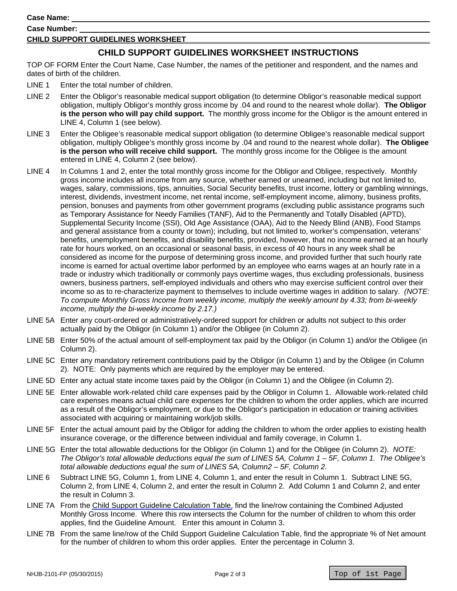**Case Name:** 

**Case Number:** 

#### **CHILD SUPPORT GUIDELINES WORKSHEET**

### **CHILD SUPPORT GUIDELINES WORKSHEET INSTRUCTIONS**

TOP OF FORM Enter the Court Name, Case Number, the names of the petitioner and respondent, and the names and dates of birth of the children.

- LINE 1 Enter the total number of children.
- LINE 2 Enter the Obligor's reasonable medical support obligation (to determine Obligor's reasonable medical support obligation, multiply Obligor's monthly gross income by .04 and round to the nearest whole dollar). **The Obligor is the person who will pay child support.** The monthly gross income for the Obligor is the amount entered in LINE 4, Column 1 (see below).
- LINE 3 Enter the Obligee's reasonable medical support obligation (to determine Obligee's reasonable medical support obligation, multiply Obligee's monthly gross income by .04 and round to the nearest whole dollar). **The Obligee is the person who will receive child support.** The monthly gross income for the Obligee is the amount entered in LINE 4, Column 2 (see below).
- pension, bonuses and payments from other government programs (excluding public assistance programs such LINE 4 In Columns 1 and 2, enter the total monthly gross income for the Obligor and Obligee, respectively. Monthly gross income includes all income from any source, whether earned or unearned, including but not limited to, wages, salary, commissions, tips, annuities, Social Security benefits, trust income, lottery or gambling winnings, interest, dividends, investment income, net rental income, self-employment income, alimony, business profits, as Temporary Assistance for Needy Families (TANF), Aid to the Permanently and Totally Disabled (APTD), Supplemental Security Income (SSI), Old Age Assistance (OAA), Aid to the Needy Blind (ANB), Food Stamps and general assistance from a county or town); including, but not limited to, worker's compensation, veterans' benefits, unemployment benefits, and disability benefits, provided, however, that no income earned at an hourly rate for hours worked, on an occasional or seasonal basis, in excess of 40 hours in any week shall be considered as income for the purpose of determining gross income, and provided further that such hourly rate income is earned for actual overtime labor performed by an employee who earns wages at an hourly rate in a trade or industry which traditionally or commonly pays overtime wages, thus excluding professionals, business owners, business partners, self-employed individuals and others who may exercise sufficient control over their income so as to re-characterize payment to themselves to include overtime wages in addition to salary. *(NOTE: To compute Monthly Gross Income from weekly income, multiply the weekly amount by 4.33; from bi-weekly income, multiply the bi-weekly income by 2.17.)*
- LINE 5A Enter any court-ordered or administratively-ordered support for children or adults not subject to this order actually paid by the Obligor (in Column 1) and/or the Obligee (in Column 2).
- LINE 5B Enter 50% of the actual amount of self-employment tax paid by the Obligor (in Column 1) and/or the Obligee (in Column 2).
- LINE 5C Enter any mandatory retirement contributions paid by the Obligor (in Column 1) and by the Obligee (in Column 2). NOTE: Only payments which are required by the employer may be entered.
- LINE 5D Enter any actual state income taxes paid by the Obligor (in Column 1) and the Obligee (in Column 2).
- LINE 5E Enter allowable work-related child care expenses paid by the Obligor in Column 1. Allowable work-related child care expenses means actual child care expenses for the children to whom the order applies, which are incurred as a result of the Obligor's employment, or due to the Obligor's participation in education or training activities associated with acquiring or maintaining work/job skills.
- LINE 5F Enter the actual amount paid by the Obligor for adding the children to whom the order applies to existing health insurance coverage, or the difference between individual and family coverage, in Column 1.
- LINE 5G Enter the total allowable deductions for the Obligor (in Column 1) and for the Obligee (in Column 2). *NOTE: The Obligor's total allowable deductions equal the sum of LINES 5A, Column 1 – 5F, Column 1. The Obligee's total allowable deductions equal the sum of LINES 5A, Column2 – 5F, Column 2.*
- LINE 6 Subtract LINE 5G, Column 1, from LINE 4, Column 1, and enter the result in Column 1. Subtract LINE 5G, Column 2, from LINE 4, Column 2, and enter the result in Column 2. Add Column 1 and Column 2, and enter the result in Column 3.
- LINE 7A From the Child Support Guideline Calculation Table, find the line/row containing the Combined Adjusted Monthly Gross Income. Where this row intersects the Column for the number of children to whom this order applies, find the Guideline Amount. Enter this amount in Column 3.
- LINE 7B From the same line/row of the Child Support Guideline Calculation Table, find the appropriate % of Net amount for the number of children to whom this order applies. Enter the percentage in Column 3.

Top of 1st Page